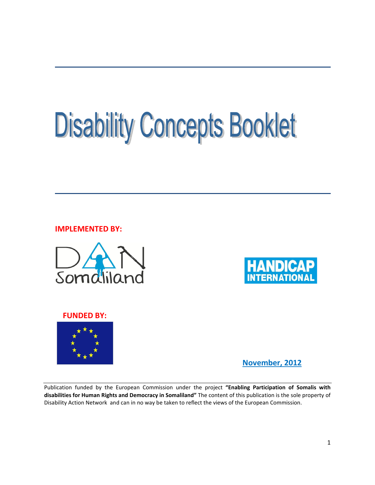# **Disability Concepts Booklet**

IMPLEMENTED BY:





#### FUNDED BY:



November, 2012

Publication funded by the European Commission under the project "Enabling Participation of Somalis with disabilities for Human Rights and Democracy in Somaliland" The content of this publication is the sole property of Disability Action Network and can in no way be taken to reflect the views of the European Commission.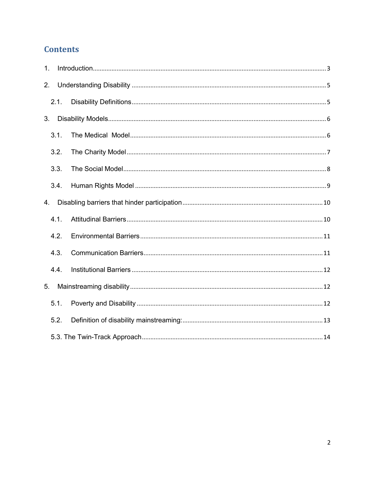# **Contents**

| 1. |      |  |
|----|------|--|
| 2. |      |  |
|    | 2.1. |  |
| 3. |      |  |
|    | 3.1. |  |
|    | 3.2. |  |
|    | 3.3. |  |
|    | 3.4. |  |
| 4. |      |  |
|    | 4.1. |  |
|    | 4.2. |  |
|    | 4.3. |  |
|    | 4.4. |  |
| 5. |      |  |
|    | 5.1. |  |
|    | 5.2. |  |
|    |      |  |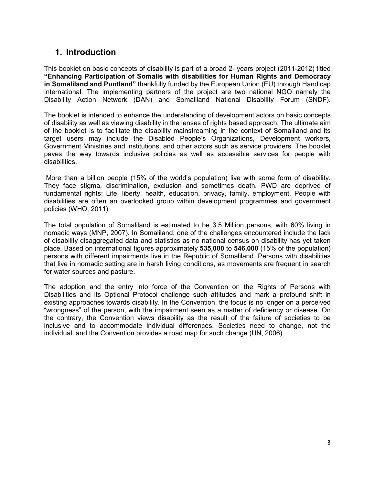## 1. Introduction

<span id="page-2-0"></span>This booklet on basic concepts of disability is part of a broad 2- years project (2011-2012) titled "Enhancing Participation of Somalis with disabilities for Human Rights and Democracy in Somaliland and Puntland" thankfully funded by the European Union (EU) through Handicap International. The implementing partners of the project are two national NGO namely the Disability Action Network (DAN) and Somaliland National Disability Forum (SNDF).

The booklet is intended to enhance the understanding of development actors on basic concepts of disability as well as viewing disability in the lenses of rights based approach. The ultimate aim of the booklet is to facilitate the disability mainstreaming in the context of Somaliland and its target users may include the Disabled People's Organizations, Development workers, Government Ministries and institutions, and other actors such as service providers. The booklet paves the way towards inclusive policies as well as accessible services for people with disabilities.

More than a billion people (15% of the world's population) live with some form of disability. They face stigma, discrimination, exclusion and sometimes death. PWD are deprived of fundamental rights: Life, liberty, health, education, privacy, family, employment. People with disabilities are often an overlooked group within development programmes and government policies (WHO, 2011).

The total population of Somaliland is estimated to be 3.5 Million persons, with 60% living in nomadic ways (MNP, 2007). In Somaliland, one of the challenges encountered include the lack of disability disaggregated data and statistics as no national census on disability has yet taken place. Based on international figures approximately 535,000 to 546,000 (15% of the population) persons with different impairments live in the Republic of Somaliland. Persons with disabilities that live in nomadic setting are in harsh living conditions, as movements are frequent in search for water sources and pasture.

The adoption and the entry into force of the Convention on the Rights of Persons with Disabilities and its Optional Protocol challenge such attitudes and mark a profound shift in existing approaches towards disability. In the Convention, the focus is no longer on a perceived "wrongness" of the person, with the impairment seen as a matter of deficiency or disease. On the contrary, the Convention views disability as the result of the failure of societies to be inclusive and to accommodate individual differences. Societies need to change, not the individual, and the Convention provides a road map for such change (UN, 2006)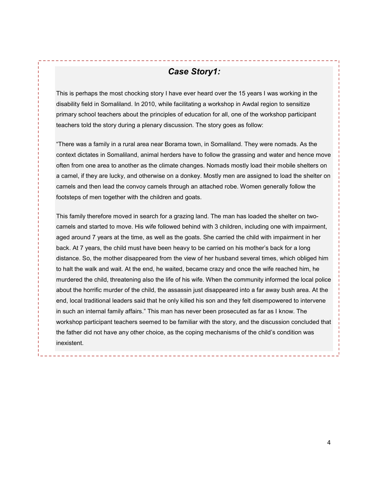# *Case Story1:*

This is perhaps the most chocking story I have ever heard over the 15 years I was working in the disability field in Somaliland. In 2010, while facilitating a workshop in Awdal region to sensitize primary school teachers about the principles of education for all, one of the workshop participant teachers told the story during a plenary discussion. The story goes as follow:

"There was a family in a rural area near Borama town, in Somaliland. They were nomads. As the context dictates in Somaliland, animal herders have to follow the grassing and water and hence move often from one area to another as the climate changes. Nomads mostly load their mobile shelters on a camel, if they are lucky, and otherwise on a donkey. Mostly men are assigned to load the shelter on camels and then lead the convoy camels through an attached robe. Women generally follow the footsteps of men together with the children and goats.

This family therefore moved in search for a grazing land. The man has loaded the shelter on twocamels and started to move. His wife followed behind with 3 children, including one with impairment, aged around 7 years at the time, as well as the goats. She carried the child with impairment in her back. At 7 years, the child must have been heavy to be carried on his mother's back for a long distance. So, the mother disappeared from the view of her husband several times, which obliged him to halt the walk and wait. At the end, he waited, became crazy and once the wife reached him, he murdered the child, threatening also the life of his wife. When the community informed the local police about the horrific murder of the child, the assassin just disappeared into a far away bush area. At the end, local traditional leaders said that he only killed his son and they felt disempowered to intervene in such an internal family affairs." This man has never been prosecuted as far as I know. The workshop participant teachers seemed to be familiar with the story, and the discussion concluded that the father did not have any other choice, as the coping mechanisms of the child's condition was inexistent.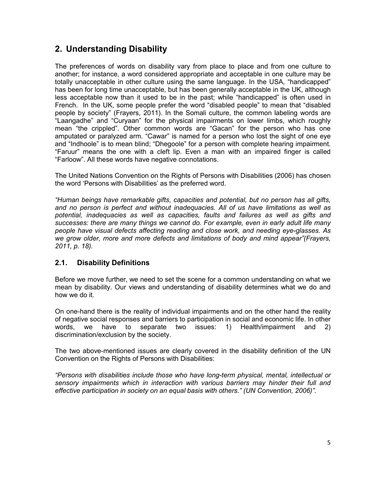# <span id="page-4-0"></span>2. Understanding Disability

The preferences of words on disability vary from place to place and from one culture to another; for instance, a word considered appropriate and acceptable in one culture may be totally unacceptable in other culture using the same language. In the USA, "handicapped" has been for long time unacceptable, but has been generally acceptable in the UK, although less acceptable now than it used to be in the past; while "handicapped" is often used in French. In the UK, some people prefer the word "disabled people" to mean that "disabled people by society" (Frayers, 2011). In the Somali culture, the common labeling words are "Laangadhe" and "Curyaan" for the physical impairments on lower limbs, which roughly mean "the crippled". Other common words are "Gacan" for the person who has one amputated or paralyzed arm. "Cawar" is named for a person who lost the sight of one eye and "Indhoole" is to mean blind; "Dhegoole" for a person with complete hearing impairment. "Faruur" means the one with a cleft lip. Even a man with an impaired finger is called "Farloow". All these words have negative connotations.

The United Nations Convention on the Rights of Persons with Disabilities (2006) has chosen the word 'Persons with Disabilities' as the preferred word.

*"Human beings have remarkable gifts, capacities and potential, but no person has all gifts, and no person is perfect and without inadequacies. All of us have limitations as well as potential, inadequacies as well as capacities, faults and failures as well as gifts and successes: there are many things we cannot do. For example, even in early adult life many people have visual defects affecting reading and close work, and needing eye-glasses. As we grow older, more and more defects and limitations of body and mind appear"(Frayers, 2011, p. 18).* 

## <span id="page-4-1"></span>2.1. Disability Definitions

Before we move further, we need to set the scene for a common understanding on what we mean by disability. Our views and understanding of disability determines what we do and how we do it.

On one-hand there is the reality of individual impairments and on the other hand the reality of negative social responses and barriers to participation in social and economic life. In other words, we have to separate two issues: 1) Health/impairment and 2) discrimination/exclusion by the society.

The two above-mentioned issues are clearly covered in the disability definition of the UN Convention on the Rights of Persons with Disabilities:

*"Persons with disabilities include those who have long-term physical, mental, intellectual or sensory impairments which in interaction with various barriers may hinder their full and effective participation in society on an equal basis with others." (UN Convention, 2006)".*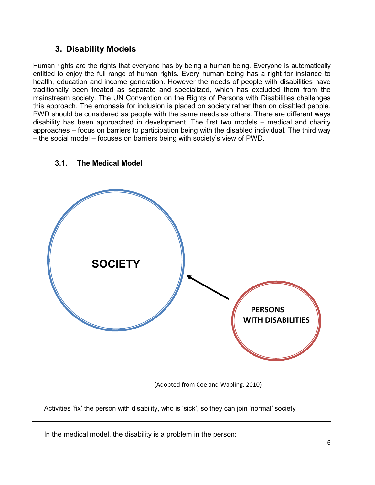## 3. Disability Models

<span id="page-5-0"></span>Human rights are the rights that everyone has by being a human being. Everyone is automatically entitled to enjoy the full range of human rights. Every human being has a right for instance to health, education and income generation. However the needs of people with disabilities have traditionally been treated as separate and specialized, which has excluded them from the mainstream society. The UN Convention on the Rights of Persons with Disabilities challenges this approach. The emphasis for inclusion is placed on society rather than on disabled people. PWD should be considered as people with the same needs as others. There are different ways disability has been approached in development. The first two models – medical and charity approaches – focus on barriers to participation being with the disabled individual. The third way – the social model – focuses on barriers being with society's view of PWD.

<span id="page-5-1"></span>

## 3.1. The Medical Model

(Adopted from Coe and Wapling, 2010)

Activities 'fix' the person with disability, who is 'sick', so they can join 'normal' society

In the medical model, the disability is a problem in the person: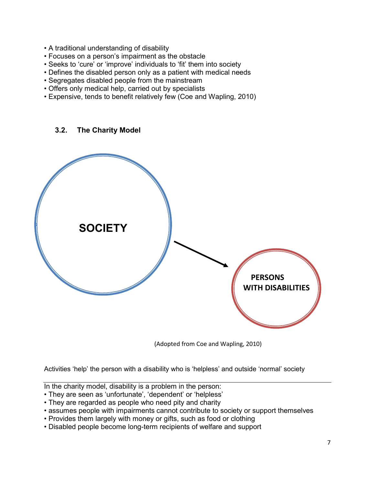- A traditional understanding of disability
- Focuses on a person's impairment as the obstacle
- Seeks to 'cure' or 'improve' individuals to 'fit' them into society
- Defines the disabled person only as a patient with medical needs
- Segregates disabled people from the mainstream
- Offers only medical help, carried out by specialists
- Expensive, tends to benefit relatively few (Coe and Wapling, 2010)

3.2. The Charity Model

<span id="page-6-0"></span>

(Adopted from Coe and Wapling, 2010)

Activities 'help' the person with a disability who is 'helpless' and outside 'normal' society

In the charity model, disability is a problem in the person:

- They are seen as 'unfortunate', 'dependent' or 'helpless'
- They are regarded as people who need pity and charity
- assumes people with impairments cannot contribute to society or support themselves
- Provides them largely with money or gifts, such as food or clothing
- Disabled people become long-term recipients of welfare and support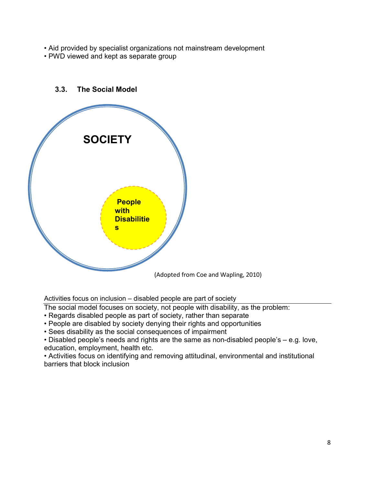- Aid provided by specialist organizations not mainstream development
- PWD viewed and kept as separate group

<span id="page-7-0"></span>

#### 3.3. The Social Model

Activities focus on inclusion – disabled people are part of society

The social model focuses on society, not people with disability, as the problem:

- Regards disabled people as part of society, rather than separate
- People are disabled by society denying their rights and opportunities

• Sees disability as the social consequences of impairment

• Disabled people's needs and rights are the same as non-disabled people's – e.g. love, education, employment, health etc.

• Activities focus on identifying and removing attitudinal, environmental and institutional barriers that block inclusion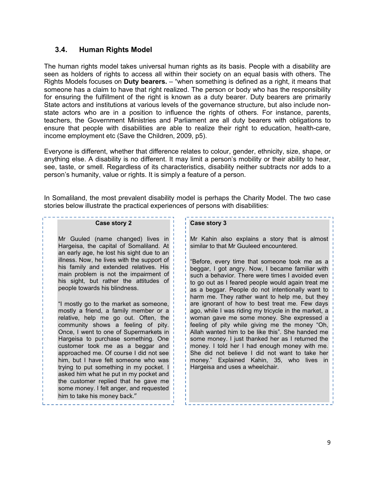#### 3.4. Human Rights Model

<span id="page-8-0"></span>The human rights model takes universal human rights as its basis. People with a disability are seen as holders of rights to access all within their society on an equal basis with others. The Rights Models focuses on Duty bearers. – "when something is defined as a right, it means that someone has a claim to have that right realized. The person or body who has the responsibility for ensuring the fulfillment of the right is known as a duty bearer. Duty bearers are primarily State actors and institutions at various levels of the governance structure, but also include nonstate actors who are in a position to influence the rights of others. For instance, parents, teachers, the Government Ministries and Parliament are all duty bearers with obligations to ensure that people with disabilities are able to realize their right to education, health-care, income employment etc (Save the Children, 2009, p5).

Everyone is different, whether that difference relates to colour, gender, ethnicity, size, shape, or anything else. A disability is no different. It may limit a person's mobility or their ability to hear, see, taste, or smell. Regardless of its characteristics, disability neither subtracts nor adds to a person's humanity, value or rights. It is simply a feature of a person.

In Somaliland, the most prevalent disability model is perhaps the Charity Model. The two case stories below illustrate the practical experiences of persons with disabilities:

#### Case story 2

Mr Guuled (name changed) lives in Hargeisa, the capital of Somaliland. At an early age, he lost his sight due to an illness. Now, he lives with the support of his family and extended relatives. His main problem is not the impairment of his sight, but rather the attitudes of people towards his blindness.

"I mostly go to the market as someone, mostly a friend, a family member or a relative, help me go out. Often, the community shows a feeling of pity. Once, I went to one of Supermarkets in Hargeisa to purchase something. One customer took me as a beggar and approached me. Of course I did not see him, but I have felt someone who was trying to put something in my pocket. I asked him what he put in my pocket and the customer replied that he gave me some money. I felt anger, and requested him to take his money back."

#### Case story 3

Mr Kahin also explains a story that is almost similar to that Mr Guuleed encountered.

---------------------

"Before, every time that someone took me as a beggar, I got angry. Now, I became familiar with such a behavior. There were times I avoided even to go out as I feared people would again treat me as a beggar. People do not intentionally want to harm me. They rather want to help me, but they are ignorant of how to best treat me. Few days ago, while I was riding my tricycle in the market, a woman gave me some money. She expressed a feeling of pity while giving me the money "Oh, Allah wanted him to be like this". She handed me some money. I just thanked her as I returned the money. I told her I had enough money with me. She did not believe I did not want to take her money." Explained Kahin, 35, who lives in Hargeisa and uses a wheelchair.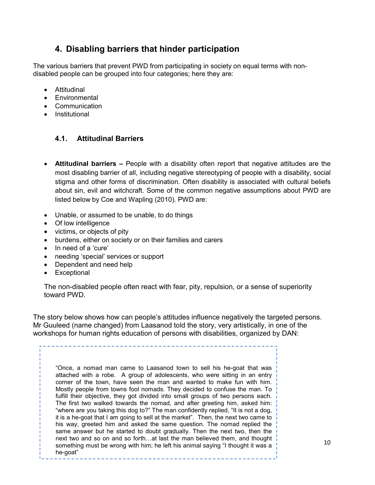# 4. Disabling barriers that hinder participation

<span id="page-9-0"></span>The various barriers that prevent PWD from participating in society on equal terms with nondisabled people can be grouped into four categories; here they are:

- Attitudinal
- Environmental
- Communication
- <span id="page-9-1"></span>• Institutional

## 4.1. Attitudinal Barriers

- Attitudinal barriers People with a disability often report that negative attitudes are the most disabling barrier of all, including negative stereotyping of people with a disability, social stigma and other forms of discrimination. Often disability is associated with cultural beliefs about sin, evil and witchcraft. Some of the common negative assumptions about PWD are listed below by Coe and Wapling (2010). PWD are:
- Unable, or assumed to be unable, to do things
- Of low intelligence
- victims, or objects of pity
- burdens, either on society or on their families and carers
- $\bullet$  In need of a 'cure'
- needing 'special' services or support
- Dependent and need help
- Exceptional

The non-disabled people often react with fear, pity, repulsion, or a sense of superiority toward PWD.

The story below shows how can people's attitudes influence negatively the targeted persons. Mr Guuleed (name changed) from Laasanod told the story, very artistically, in one of the workshops for human rights education of persons with disabilities, organized by DAN:

"Once, a nomad man came to Laasanod town to sell his he-goat that was attached with a robe. A group of adolescents, who were sitting in an entry corner of the town, have seen the man and wanted to make fun with him. Mostly people from towns fool nomads. They decided to confuse the man. To fulfill their objective, they got divided into small groups of two persons each. The first two walked towards the nomad, and after greeting him, asked him: "where are you taking this dog to?" The man confidently replied, "It is not a dog, it is a he-goat that I am going to sell at the market". Then, the next two came to his way, greeted him and asked the same question. The nomad replied the same answer but he started to doubt gradually. Then the next two, then the next two and so on and so forth…at last the man believed them, and thought something must be wrong with him; he left his animal saying "I thought it was a he-goat"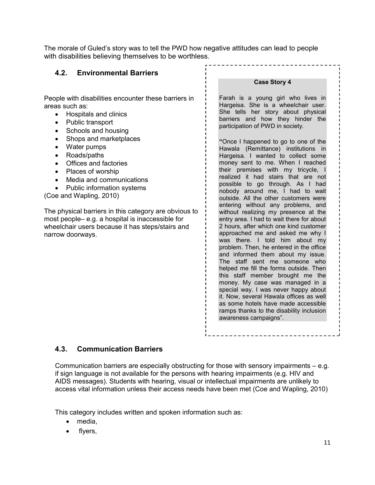The morale of Guled's story was to tell the PWD how negative attitudes can lead to people with disabilities believing themselves to be worthless.

<span id="page-10-0"></span>

| 4.2. Environmental Barriers                                                                                                                                                                                                                                                                                                                                                                                                                                                                                                                                                                 |                                                                                                                                                                                                                                                                                                                                                                                                                                                                                                                                                                                                                                                                                                                                                                                                                                                                                                                                                                                                                                                                                                                                                                                                                           |
|---------------------------------------------------------------------------------------------------------------------------------------------------------------------------------------------------------------------------------------------------------------------------------------------------------------------------------------------------------------------------------------------------------------------------------------------------------------------------------------------------------------------------------------------------------------------------------------------|---------------------------------------------------------------------------------------------------------------------------------------------------------------------------------------------------------------------------------------------------------------------------------------------------------------------------------------------------------------------------------------------------------------------------------------------------------------------------------------------------------------------------------------------------------------------------------------------------------------------------------------------------------------------------------------------------------------------------------------------------------------------------------------------------------------------------------------------------------------------------------------------------------------------------------------------------------------------------------------------------------------------------------------------------------------------------------------------------------------------------------------------------------------------------------------------------------------------------|
|                                                                                                                                                                                                                                                                                                                                                                                                                                                                                                                                                                                             | <b>Case Story 4</b>                                                                                                                                                                                                                                                                                                                                                                                                                                                                                                                                                                                                                                                                                                                                                                                                                                                                                                                                                                                                                                                                                                                                                                                                       |
| People with disabilities encounter these barriers in<br>areas such as:<br>Hospitals and clinics<br>$\bullet$<br>Public transport<br>$\bullet$<br>Schools and housing<br>$\bullet$<br>Shops and marketplaces<br>Water pumps<br>$\bullet$<br>Roads/paths<br>$\bullet$<br>Offices and factories<br>Places of worship<br>Media and communications<br>Public information systems<br>(Coe and Wapling, 2010)<br>The physical barriers in this category are obvious to<br>most people- e.g. a hospital is inaccessible for<br>wheelchair users because it has steps/stairs and<br>narrow doorways. | Farah is a young girl who lives in<br>Hargeisa. She is a wheelchair user.<br>She tells her story about physical<br>barriers and how they hinder the<br>participation of PWD in society.<br>"Once I happened to go to one of the<br>Hawala (Remittance) institutions in<br>Hargeisa. I wanted to collect some<br>money sent to me. When I reached<br>their premises with my tricycle, I<br>realized it had stairs that are not<br>possible to go through. As I had<br>nobody around me, I had to wait<br>outside. All the other customers were<br>entering without any problems, and<br>without realizing my presence at the<br>entry area. I had to wait there for about<br>2 hours, after which one kind customer<br>approached me and asked me why I<br>was there. I told him about my<br>problem. Then, he entered in the office<br>and informed them about my issue.<br>The staff sent me someone who<br>helped me fill the forms outside. Then<br>this staff member brought me the<br>money. My case was managed in a<br>special way. I was never happy about<br>it. Now, several Hawala offices as well<br>as some hotels have made accessible<br>ramps thanks to the disability inclusion<br>awareness campaigns". |

### <span id="page-10-1"></span>4.3. Communication Barriers

Communication barriers are especially obstructing for those with sensory impairments – e.g. if sign language is not available for the persons with hearing impairments (e.g. HIV and AIDS messages). Students with hearing, visual or intellectual impairments are unlikely to access vital information unless their access needs have been met (Coe and Wapling, 2010)

This category includes written and spoken information such as:

- media,
- flyers,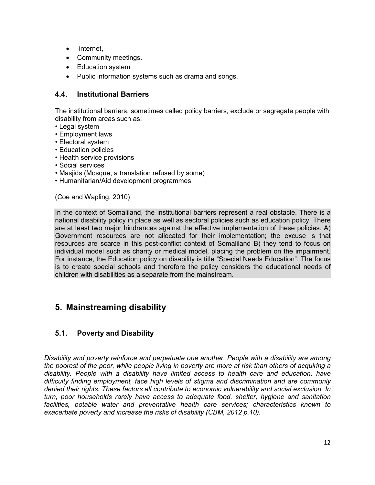- internet,
- Community meetings.
- Education system
- Public information systems such as drama and songs.

#### <span id="page-11-0"></span>4.4. Institutional Barriers

The institutional barriers, sometimes called policy barriers, exclude or segregate people with disability from areas such as:

- Legal system
- Employment laws
- Electoral system
- Education policies
- Health service provisions
- Social services
- Masjids (Mosque, a translation refused by some)
- Humanitarian/Aid development programmes

(Coe and Wapling, 2010)

In the context of Somaliland, the institutional barriers represent a real obstacle. There is a national disability policy in place as well as sectoral policies such as education policy. There are at least two major hindrances against the effective implementation of these policies. A) Government resources are not allocated for their implementation; the excuse is that resources are scarce in this post-conflict context of Somaliland B) they tend to focus on individual model such as charity or medical model, placing the problem on the impairment. For instance, the Education policy on disability is title "Special Needs Education". The focus is to create special schools and therefore the policy considers the educational needs of children with disabilities as a separate from the mainstream.

## <span id="page-11-1"></span>5. Mainstreaming disability

#### 5.1. Poverty and Disability

<span id="page-11-2"></span>*Disability and poverty reinforce and perpetuate one another. People with a disability are among the poorest of the poor, while people living in poverty are more at risk than others of acquiring a disability. People with a disability have limited access to health care and education, have difficulty finding employment, face high levels of stigma and discrimination and are commonly denied their rights. These factors all contribute to economic vulnerability and social exclusion. In turn, poor households rarely have access to adequate food, shelter, hygiene and sanitation facilities, potable water and preventative health care services; characteristics known to exacerbate poverty and increase the risks of disability (CBM, 2012 p.10).*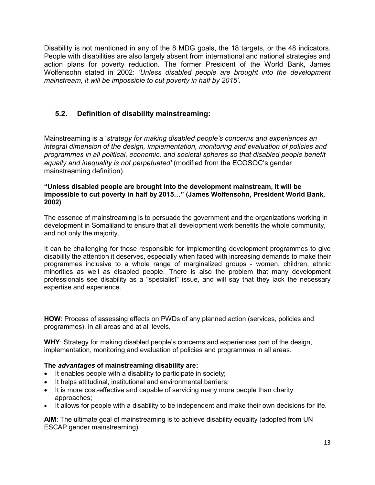Disability is not mentioned in any of the 8 MDG goals, the 18 targets, or the 48 indicators. People with disabilities are also largely absent from international and national strategies and action plans for poverty reduction. The former President of the World Bank, James Wolfensohn stated in 2002: *'Unless disabled people are brought into the development mainstream, it will be impossible to cut poverty in half by 2015'*.

## <span id="page-12-0"></span>5.2. Definition of disability mainstreaming:

Mainstreaming is a '*strategy for making disabled people's concerns and experiences an integral dimension of the design, implementation, monitoring and evaluation of policies and programmes in all political, economic, and societal spheres so that disabled people benefit equally and inequality is not perpetuated'* (modified from the ECOSOC's gender mainstreaming definition).

#### "Unless disabled people are brought into the development mainstream, it will be impossible to cut poverty in half by 2015…" (James Wolfensohn, President World Bank, 2002)

The essence of mainstreaming is to persuade the government and the organizations working in development in Somaliland to ensure that all development work benefits the whole community, and not only the majority.

It can be challenging for those responsible for implementing development programmes to give disability the attention it deserves, especially when faced with increasing demands to make their programmes inclusive to a whole range of marginalized groups - women, children, ethnic minorities as well as disabled people. There is also the problem that many development professionals see disability as a "specialist" issue, and will say that they lack the necessary expertise and experience.

HOW: Process of assessing effects on PWDs of any planned action (services, policies and programmes), in all areas and at all levels.

WHY: Strategy for making disabled people's concerns and experiences part of the design, implementation, monitoring and evaluation of policies and programmes in all areas.

#### The *advantages* of mainstreaming disability are:

- It enables people with a disability to participate in society;
- It helps attitudinal, institutional and environmental barriers;
- It is more cost-effective and capable of servicing many more people than charity approaches;
- It allows for people with a disability to be independent and make their own decisions for life.

AIM: The ultimate goal of mainstreaming is to achieve disability equality (adopted from UN ESCAP gender mainstreaming)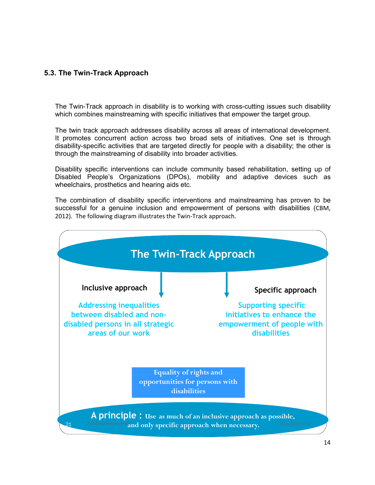## <span id="page-13-0"></span>5.3. The Twin-Track Approach

The Twin-Track approach in disability is to working with cross-cutting issues such disability which combines mainstreaming with specific initiatives that empower the target group.

The twin track approach addresses disability across all areas of international development. It promotes concurrent action across two broad sets of initiatives. One set is through disability-specific activities that are targeted directly for people with a disability; the other is through the mainstreaming of disability into broader activities.

Disability specific interventions can include community based rehabilitation, setting up of Disabled People's Organizations (DPOs), mobility and adaptive devices such as wheelchairs, prosthetics and hearing aids etc.

The combination of disability specific interventions and mainstreaming has proven to be successful for a genuine inclusion and empowerment of persons with disabilities (CBM, 2012). The following diagram illustrates the Twin-Track approach.

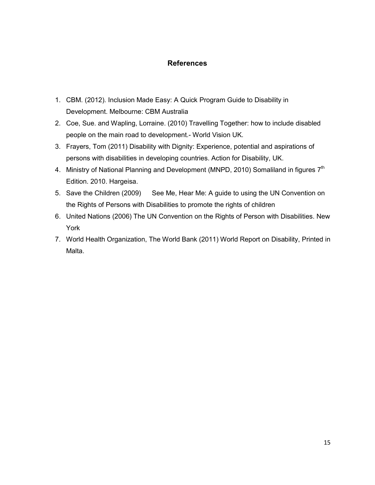## References

- 1. CBM. (2012). Inclusion Made Easy: A Quick Program Guide to Disability in Development. Melbourne: CBM Australia
- 2. Coe, Sue. and Wapling, Lorraine. (2010) Travelling Together: how to include disabled people on the main road to development.- World Vision UK.
- 3. Frayers, Tom (2011) Disability with Dignity: Experience, potential and aspirations of persons with disabilities in developing countries. Action for Disability, UK.
- 4. Ministry of National Planning and Development (MNPD, 2010) Somaliland in figures 7<sup>th</sup> Edition. 2010. Hargeisa.
- 5. Save the Children (2009) See Me, Hear Me: A guide to using the UN Convention on the Rights of Persons with Disabilities to promote the rights of children
- 6. United Nations (2006) The UN Convention on the Rights of Person with Disabilities. New York
- 7. World Health Organization, The World Bank (2011) World Report on Disability, Printed in Malta.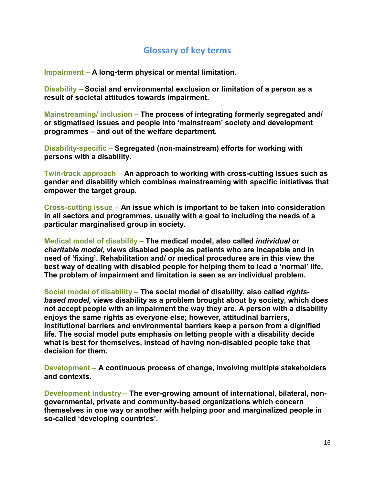# Glossary of key terms

Impairment – A long-term physical or mental limitation.

Disability – Social and environmental exclusion or limitation of a person as a result of societal attitudes towards impairment.

Mainstreaming/ inclusion – The process of integrating formerly segregated and/ or stigmatised issues and people into 'mainstream' society and development programmes – and out of the welfare department.

Disability-specific – Segregated (non-mainstream) efforts for working with persons with a disability.

Twin-track approach – An approach to working with cross-cutting issues such as gender and disability which combines mainstreaming with specific initiatives that empower the target group.

Cross-cutting issue – An issue which is important to be taken into consideration in all sectors and programmes, usually with a goal to including the needs of a particular marginalised group in society.

Medical model of disability – The medical model, also called *individual* or *charitable model*, views disabled people as patients who are incapable and in need of 'fixing'. Rehabilitation and/ or medical procedures are in this view the best way of dealing with disabled people for helping them to lead a 'normal' life. The problem of impairment and limitation is seen as an individual problem.

Social model of disability – The social model of disability, also called *rightsbased model,* views disability as a problem brought about by society, which does not accept people with an impairment the way they are. A person with a disability enjoys the same rights as everyone else; however, attitudinal barriers, institutional barriers and environmental barriers keep a person from a dignified life. The social model puts emphasis on letting people with a disability decide what is best for themselves, instead of having non-disabled people take that decision for them.

Development – A continuous process of change, involving multiple stakeholders and contexts.

Development industry – The ever-growing amount of international, bilateral, nongovernmental, private and community-based organizations which concern themselves in one way or another with helping poor and marginalized people in so-called 'developing countries'.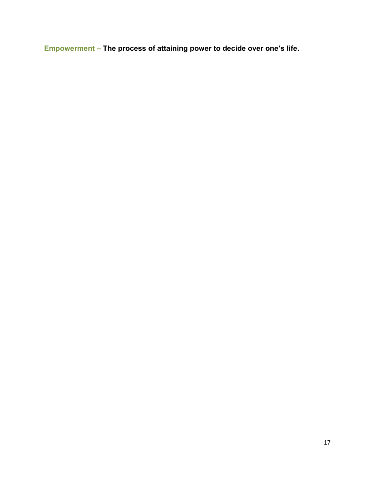Empowerment – The process of attaining power to decide over one's life.